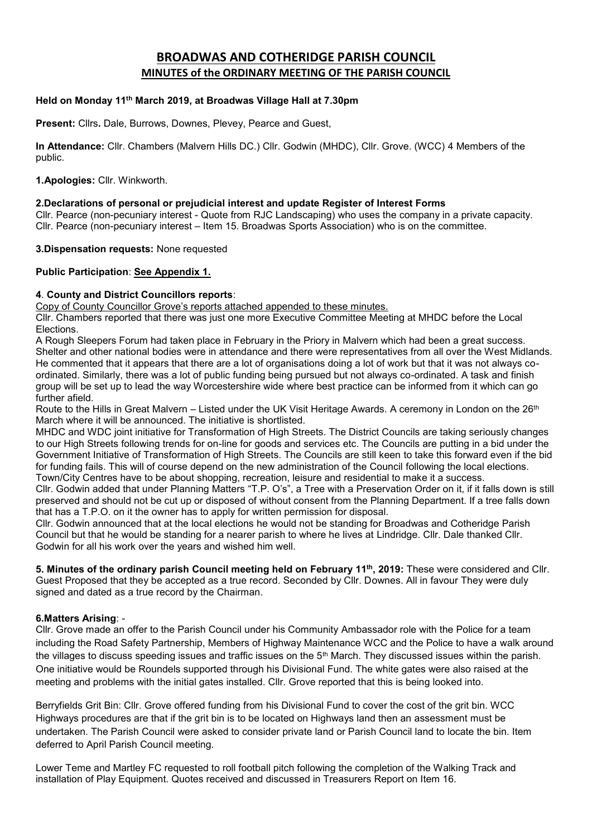# **BROADWAS AND COTHERIDGE PARISH COUNCIL MINUTES of the ORDINARY MEETING OF THE PARISH COUNCIL**

#### **Held on Monday 11 th March 2019, at Broadwas Village Hall at 7.30pm**

**Present:** Cllrs**.** Dale, Burrows, Downes, Plevey, Pearce and Guest,

**In Attendance:** Cllr. Chambers (Malvern Hills DC.) Cllr. Godwin (MHDC), Cllr. Grove. (WCC) 4 Members of the public.

**1.Apologies:** Cllr. Winkworth.

#### **2.Declarations of personal or prejudicial interest and update Register of Interest Forms**

Cllr. Pearce (non-pecuniary interest - Quote from RJC Landscaping) who uses the company in a private capacity. Cllr. Pearce (non-pecuniary interest – Item 15. Broadwas Sports Association) who is on the committee.

#### **3.Dispensation requests:** None requested

#### **Public Participation**: **See Appendix 1.**

#### **4**. **County and District Councillors reports**:

Copy of County Councillor Grove's reports attached appended to these minutes.

Cllr. Chambers reported that there was just one more Executive Committee Meeting at MHDC before the Local Elections.

A Rough Sleepers Forum had taken place in February in the Priory in Malvern which had been a great success. Shelter and other national bodies were in attendance and there were representatives from all over the West Midlands. He commented that it appears that there are a lot of organisations doing a lot of work but that it was not always coordinated. Similarly, there was a lot of public funding being pursued but not always co-ordinated. A task and finish group will be set up to lead the way Worcestershire wide where best practice can be informed from it which can go further afield.

Route to the Hills in Great Malvern – Listed under the UK Visit Heritage Awards. A ceremony in London on the 26<sup>th</sup> March where it will be announced. The initiative is shortlisted.

MHDC and WDC joint initiative for Transformation of High Streets. The District Councils are taking seriously changes to our High Streets following trends for on-line for goods and services etc. The Councils are putting in a bid under the Government Initiative of Transformation of High Streets. The Councils are still keen to take this forward even if the bid for funding fails. This will of course depend on the new administration of the Council following the local elections. Town/City Centres have to be about shopping, recreation, leisure and residential to make it a success.

Cllr. Godwin added that under Planning Matters "T.P. O's", a Tree with a Preservation Order on it, if it falls down is still preserved and should not be cut up or disposed of without consent from the Planning Department. If a tree falls down that has a T.P.O. on it the owner has to apply for written permission for disposal.

Cllr. Godwin announced that at the local elections he would not be standing for Broadwas and Cotheridge Parish Council but that he would be standing for a nearer parish to where he lives at Lindridge. Cllr. Dale thanked Cllr. Godwin for all his work over the years and wished him well.

**5. Minutes of the ordinary parish Council meeting held on February 11 th, 2019:** These were considered and Cllr. Guest Proposed that they be accepted as a true record. Seconded by Cllr. Downes. All in favour They were duly signed and dated as a true record by the Chairman.

#### **6.Matters Arising**: -

Cllr. Grove made an offer to the Parish Council under his Community Ambassador role with the Police for a team including the Road Safety Partnership, Members of Highway Maintenance WCC and the Police to have a walk around the villages to discuss speeding issues and traffic issues on the  $5<sup>th</sup>$  March. They discussed issues within the parish. One initiative would be Roundels supported through his Divisional Fund. The white gates were also raised at the meeting and problems with the initial gates installed. Cllr. Grove reported that this is being looked into.

Berryfields Grit Bin: Cllr. Grove offered funding from his Divisional Fund to cover the cost of the grit bin. WCC Highways procedures are that if the grit bin is to be located on Highways land then an assessment must be undertaken. The Parish Council were asked to consider private land or Parish Council land to locate the bin. Item deferred to April Parish Council meeting.

Lower Teme and Martley FC requested to roll football pitch following the completion of the Walking Track and installation of Play Equipment. Quotes received and discussed in Treasurers Report on Item 16.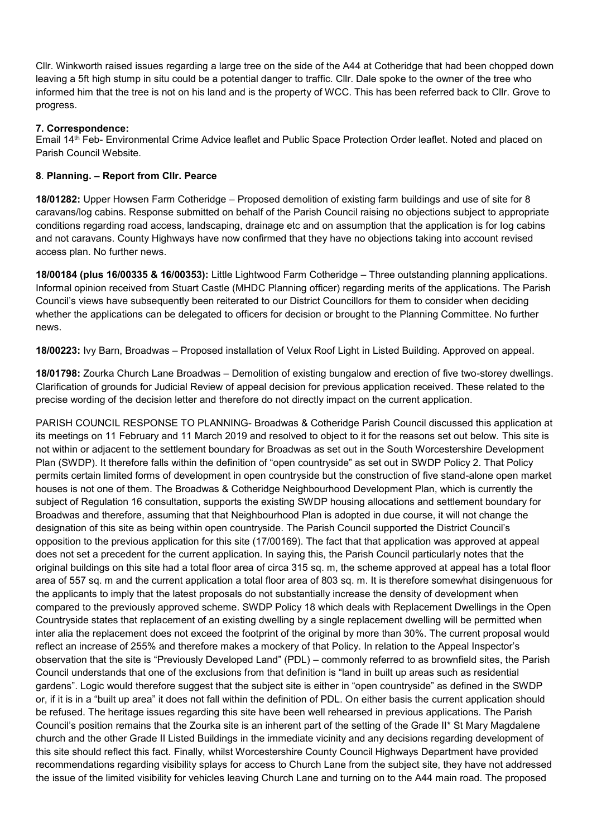Cllr. Winkworth raised issues regarding a large tree on the side of the A44 at Cotheridge that had been chopped down leaving a 5ft high stump in situ could be a potential danger to traffic. Cllr. Dale spoke to the owner of the tree who informed him that the tree is not on his land and is the property of WCC. This has been referred back to Cllr. Grove to progress.

## **7. Correspondence:**

Email 14th Feb- Environmental Crime Advice leaflet and Public Space Protection Order leaflet. Noted and placed on Parish Council Website.

## **8**. **Planning. – Report from Cllr. Pearce**

**18/01282:** Upper Howsen Farm Cotheridge – Proposed demolition of existing farm buildings and use of site for 8 caravans/log cabins. Response submitted on behalf of the Parish Council raising no objections subject to appropriate conditions regarding road access, landscaping, drainage etc and on assumption that the application is for log cabins and not caravans. County Highways have now confirmed that they have no objections taking into account revised access plan. No further news.

**18/00184 (plus 16/00335 & 16/00353):** Little Lightwood Farm Cotheridge – Three outstanding planning applications. Informal opinion received from Stuart Castle (MHDC Planning officer) regarding merits of the applications. The Parish Council's views have subsequently been reiterated to our District Councillors for them to consider when deciding whether the applications can be delegated to officers for decision or brought to the Planning Committee. No further news.

**18/00223:** Ivy Barn, Broadwas – Proposed installation of Velux Roof Light in Listed Building. Approved on appeal.

**18/01798:** Zourka Church Lane Broadwas – Demolition of existing bungalow and erection of five two-storey dwellings. Clarification of grounds for Judicial Review of appeal decision for previous application received. These related to the precise wording of the decision letter and therefore do not directly impact on the current application.

PARISH COUNCIL RESPONSE TO PLANNING- Broadwas & Cotheridge Parish Council discussed this application at its meetings on 11 February and 11 March 2019 and resolved to object to it for the reasons set out below. This site is not within or adjacent to the settlement boundary for Broadwas as set out in the South Worcestershire Development Plan (SWDP). It therefore falls within the definition of "open countryside" as set out in SWDP Policy 2. That Policy permits certain limited forms of development in open countryside but the construction of five stand-alone open market houses is not one of them. The Broadwas & Cotheridge Neighbourhood Development Plan, which is currently the subject of Regulation 16 consultation, supports the existing SWDP housing allocations and settlement boundary for Broadwas and therefore, assuming that that Neighbourhood Plan is adopted in due course, it will not change the designation of this site as being within open countryside. The Parish Council supported the District Council's opposition to the previous application for this site (17/00169). The fact that that application was approved at appeal does not set a precedent for the current application. In saying this, the Parish Council particularly notes that the original buildings on this site had a total floor area of circa 315 sq. m, the scheme approved at appeal has a total floor area of 557 sq. m and the current application a total floor area of 803 sq. m. It is therefore somewhat disingenuous for the applicants to imply that the latest proposals do not substantially increase the density of development when compared to the previously approved scheme. SWDP Policy 18 which deals with Replacement Dwellings in the Open Countryside states that replacement of an existing dwelling by a single replacement dwelling will be permitted when inter alia the replacement does not exceed the footprint of the original by more than 30%. The current proposal would reflect an increase of 255% and therefore makes a mockery of that Policy. In relation to the Appeal Inspector's observation that the site is "Previously Developed Land" (PDL) – commonly referred to as brownfield sites, the Parish Council understands that one of the exclusions from that definition is "land in built up areas such as residential gardens". Logic would therefore suggest that the subject site is either in "open countryside" as defined in the SWDP or, if it is in a "built up area" it does not fall within the definition of PDL. On either basis the current application should be refused. The heritage issues regarding this site have been well rehearsed in previous applications. The Parish Council's position remains that the Zourka site is an inherent part of the setting of the Grade II\* St Mary Magdalene church and the other Grade II Listed Buildings in the immediate vicinity and any decisions regarding development of this site should reflect this fact. Finally, whilst Worcestershire County Council Highways Department have provided recommendations regarding visibility splays for access to Church Lane from the subject site, they have not addressed the issue of the limited visibility for vehicles leaving Church Lane and turning on to the A44 main road. The proposed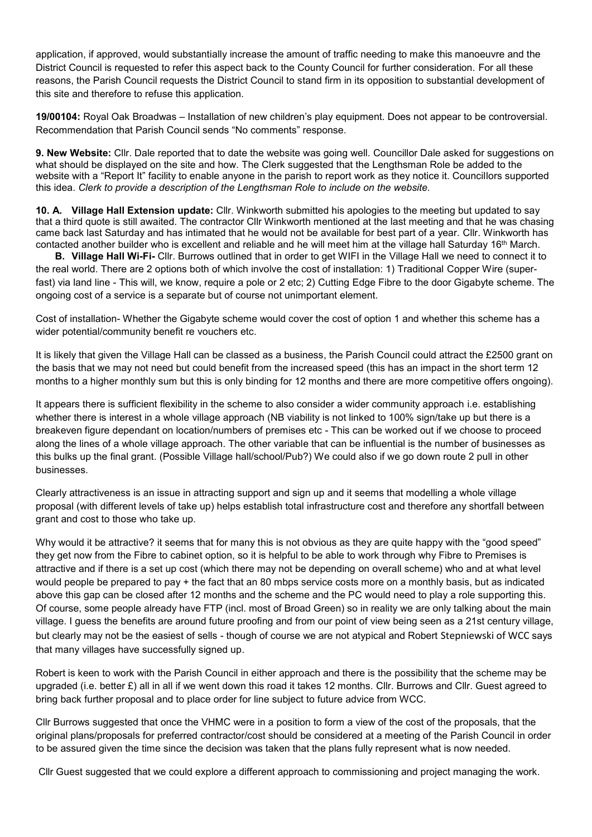application, if approved, would substantially increase the amount of traffic needing to make this manoeuvre and the District Council is requested to refer this aspect back to the County Council for further consideration. For all these reasons, the Parish Council requests the District Council to stand firm in its opposition to substantial development of this site and therefore to refuse this application.

**19/00104:** Royal Oak Broadwas – Installation of new children's play equipment. Does not appear to be controversial. Recommendation that Parish Council sends "No comments" response.

**9. New Website:** Cllr. Dale reported that to date the website was going well. Councillor Dale asked for suggestions on what should be displayed on the site and how. The Clerk suggested that the Lengthsman Role be added to the website with a "Report It" facility to enable anyone in the parish to report work as they notice it. Councillors supported this idea. *Clerk to provide a description of the Lengthsman Role to include on the website.*

**10. A. Village Hall Extension update:** Cllr. Winkworth submitted his apologies to the meeting but updated to say that a third quote is still awaited. The contractor Cllr Winkworth mentioned at the last meeting and that he was chasing came back last Saturday and has intimated that he would not be available for best part of a year. Cllr. Winkworth has contacted another builder who is excellent and reliable and he will meet him at the village hall Saturday 16th March.

 **B. Village Hall Wi-Fi-** Cllr. Burrows outlined that in order to get WIFI in the Village Hall we need to connect it to the real world. There are 2 options both of which involve the cost of installation: 1) Traditional Copper Wire (superfast) via land line - This will, we know, require a pole or 2 etc; 2) Cutting Edge Fibre to the door Gigabyte scheme. The ongoing cost of a service is a separate but of course not unimportant element.

Cost of installation- Whether the Gigabyte scheme would cover the cost of option 1 and whether this scheme has a wider potential/community benefit re vouchers etc.

It is likely that given the Village Hall can be classed as a business, the Parish Council could attract the £2500 grant on the basis that we may not need but could benefit from the increased speed (this has an impact in the short term 12 months to a higher monthly sum but this is only binding for 12 months and there are more competitive offers ongoing).

It appears there is sufficient flexibility in the scheme to also consider a wider community approach i.e. establishing whether there is interest in a whole village approach (NB viability is not linked to 100% sign/take up but there is a breakeven figure dependant on location/numbers of premises etc - This can be worked out if we choose to proceed along the lines of a whole village approach. The other variable that can be influential is the number of businesses as this bulks up the final grant. (Possible Village hall/school/Pub?) We could also if we go down route 2 pull in other businesses.

Clearly attractiveness is an issue in attracting support and sign up and it seems that modelling a whole village proposal (with different levels of take up) helps establish total infrastructure cost and therefore any shortfall between grant and cost to those who take up.

Why would it be attractive? it seems that for many this is not obvious as they are quite happy with the "good speed" they get now from the Fibre to cabinet option, so it is helpful to be able to work through why Fibre to Premises is attractive and if there is a set up cost (which there may not be depending on overall scheme) who and at what level would people be prepared to pay + the fact that an 80 mbps service costs more on a monthly basis, but as indicated above this gap can be closed after 12 months and the scheme and the PC would need to play a role supporting this. Of course, some people already have FTP (incl. most of Broad Green) so in reality we are only talking about the main village. I guess the benefits are around future proofing and from our point of view being seen as a 21st century village, but clearly may not be the easiest of sells - though of course we are not atypical and Robert Stepniewski of WCC says that many villages have successfully signed up.

Robert is keen to work with the Parish Council in either approach and there is the possibility that the scheme may be upgraded (i.e. better  $E$ ) all in all if we went down this road it takes 12 months. Cllr. Burrows and Cllr. Guest agreed to bring back further proposal and to place order for line subject to future advice from WCC.

Cllr Burrows suggested that once the VHMC were in a position to form a view of the cost of the proposals, that the original plans/proposals for preferred contractor/cost should be considered at a meeting of the Parish Council in order to be assured given the time since the decision was taken that the plans fully represent what is now needed.

Cllr Guest suggested that we could explore a different approach to commissioning and project managing the work.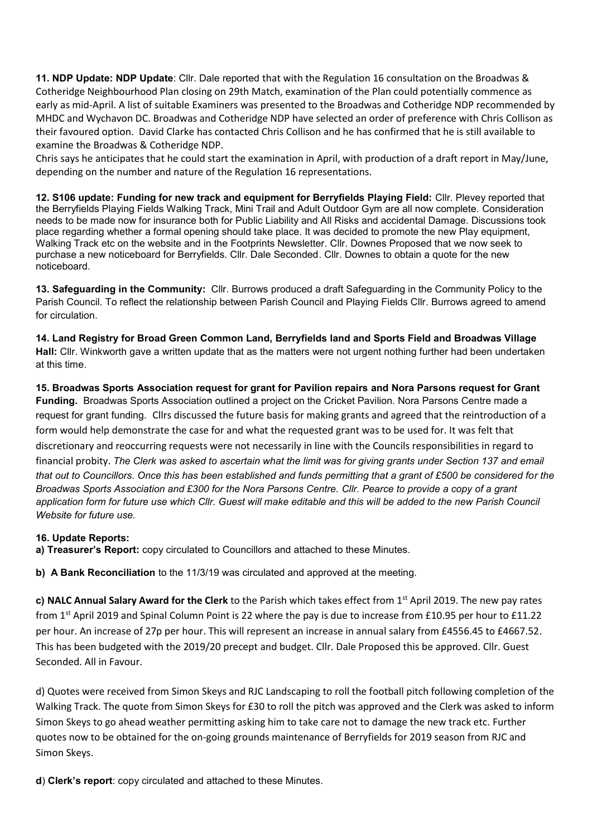**11. NDP Update: NDP Update**: Cllr. Dale reported that with the Regulation 16 consultation on the Broadwas & Cotheridge Neighbourhood Plan closing on 29th Match, examination of the Plan could potentially commence as early as mid-April. A list of suitable Examiners was presented to the Broadwas and Cotheridge NDP recommended by MHDC and Wychavon DC. Broadwas and Cotheridge NDP have selected an order of preference with Chris Collison as their favoured option. David Clarke has contacted Chris Collison and he has confirmed that he is still available to examine the Broadwas & Cotheridge NDP.

Chris says he anticipates that he could start the examination in April, with production of a draft report in May/June, depending on the number and nature of the Regulation 16 representations.

**12. S106 update: Funding for new track and equipment for Berryfields Playing Field:** Cllr. Plevey reported that the Berryfields Playing Fields Walking Track, Mini Trail and Adult Outdoor Gym are all now complete. Consideration needs to be made now for insurance both for Public Liability and All Risks and accidental Damage. Discussions took place regarding whether a formal opening should take place. It was decided to promote the new Play equipment, Walking Track etc on the website and in the Footprints Newsletter. Cllr. Downes Proposed that we now seek to purchase a new noticeboard for Berryfields. Cllr. Dale Seconded. Cllr. Downes to obtain a quote for the new noticeboard.

**13. Safeguarding in the Community:** Cllr. Burrows produced a draft Safeguarding in the Community Policy to the Parish Council. To reflect the relationship between Parish Council and Playing Fields Cllr. Burrows agreed to amend for circulation.

**14. Land Registry for Broad Green Common Land, Berryfields land and Sports Field and Broadwas Village Hall:** Cllr. Winkworth gave a written update that as the matters were not urgent nothing further had been undertaken at this time.

**15. Broadwas Sports Association request for grant for Pavilion repairs and Nora Parsons request for Grant Funding.** Broadwas Sports Association outlined a project on the Cricket Pavilion. Nora Parsons Centre made a request for grant funding.Cllrs discussed the future basis for making grants and agreed that the reintroduction of a form would help demonstrate the case for and what the requested grant was to be used for. It was felt that discretionary and reoccurring requests were not necessarily in line with the Councils responsibilities in regard to financial probity. *The Clerk was asked to ascertain what the limit was for giving grants under Section 137 and email that out to Councillors. Once this has been established and funds permitting that a grant of £500 be considered for the Broadwas Sports Association and £300 for the Nora Parsons Centre. Cllr. Pearce to provide a copy of a grant*  application form for future use which Cllr. Guest will make editable and this will be added to the new Parish Council *Website for future use.*

## **16. Update Reports:**

**a) Treasurer's Report:** copy circulated to Councillors and attached to these Minutes.

**b) A Bank Reconciliation** to the 11/3/19 was circulated and approved at the meeting.

**c) NALC Annual Salary Award for the Clerk** to the Parish which takes effect from 1st April 2019. The new pay rates from 1<sup>st</sup> April 2019 and Spinal Column Point is 22 where the pay is due to increase from £10.95 per hour to £11.22 per hour. An increase of 27p per hour. This will represent an increase in annual salary from £4556.45 to £4667.52. This has been budgeted with the 2019/20 precept and budget. Cllr. Dale Proposed this be approved. Cllr. Guest Seconded. All in Favour.

d) Quotes were received from Simon Skeys and RJC Landscaping to roll the football pitch following completion of the Walking Track. The quote from Simon Skeys for £30 to roll the pitch was approved and the Clerk was asked to inform Simon Skeys to go ahead weather permitting asking him to take care not to damage the new track etc. Further quotes now to be obtained for the on-going grounds maintenance of Berryfields for 2019 season from RJC and Simon Skeys.

**d**) **Clerk's report**: copy circulated and attached to these Minutes.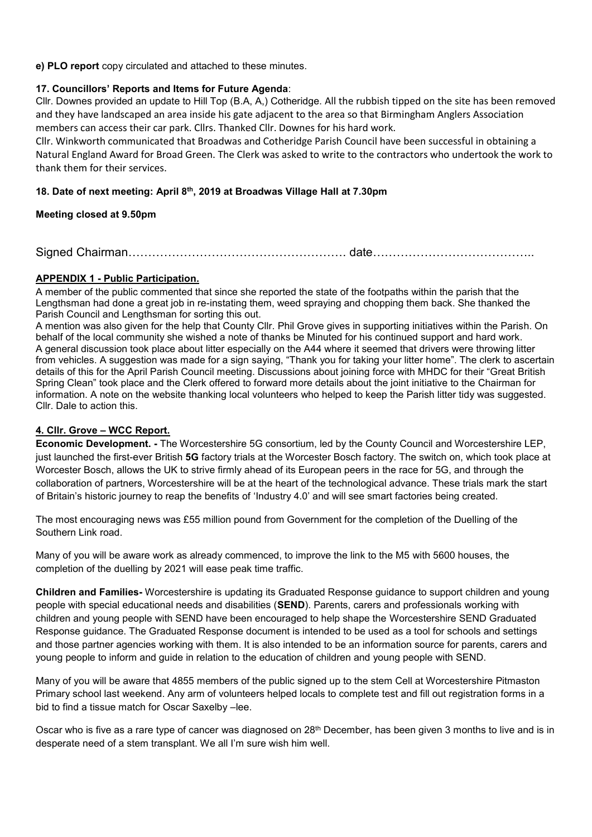**e) PLO report** copy circulated and attached to these minutes.

## **17. Councillors' Reports and Items for Future Agenda**:

Cllr. Downes provided an update to Hill Top (B.A, A,) Cotheridge. All the rubbish tipped on the site has been removed and they have landscaped an area inside his gate adjacent to the area so that Birmingham Anglers Association members can access their car park. Cllrs. Thanked Cllr. Downes for his hard work.

Cllr. Winkworth communicated that Broadwas and Cotheridge Parish Council have been successful in obtaining a Natural England Award for Broad Green. The Clerk was asked to write to the contractors who undertook the work to thank them for their services.

## **18. Date of next meeting: April 8th, 2019 at Broadwas Village Hall at 7.30pm**

## **Meeting closed at 9.50pm**

Signed Chairman………………………………………………. date…………………………………..

## **APPENDIX 1 - Public Participation.**

A member of the public commented that since she reported the state of the footpaths within the parish that the Lengthsman had done a great job in re-instating them, weed spraying and chopping them back. She thanked the Parish Council and Lengthsman for sorting this out.

A mention was also given for the help that County Cllr. Phil Grove gives in supporting initiatives within the Parish. On behalf of the local community she wished a note of thanks be Minuted for his continued support and hard work. A general discussion took place about litter especially on the A44 where it seemed that drivers were throwing litter from vehicles. A suggestion was made for a sign saying, "Thank you for taking your litter home". The clerk to ascertain details of this for the April Parish Council meeting. Discussions about joining force with MHDC for their "Great British Spring Clean" took place and the Clerk offered to forward more details about the joint initiative to the Chairman for information. A note on the website thanking local volunteers who helped to keep the Parish litter tidy was suggested. Cllr. Dale to action this.

## **4. Cllr. Grove – WCC Report.**

**Economic Development. -** The Worcestershire 5G consortium, led by the County Council and Worcestershire LEP, just launched the first-ever British **5G** factory trials at the Worcester Bosch factory. The switch on, which took place at Worcester Bosch, allows the UK to strive firmly ahead of its European peers in the race for 5G, and through the collaboration of partners, Worcestershire will be at the heart of the technological advance. These trials mark the start of Britain's historic journey to reap the benefits of 'Industry 4.0' and will see smart factories being created.

The most encouraging news was £55 million pound from Government for the completion of the Duelling of the Southern Link road.

Many of you will be aware work as already commenced, to improve the link to the M5 with 5600 houses, the completion of the duelling by 2021 will ease peak time traffic.

**Children and Families-** Worcestershire is updating its Graduated Response guidance to support children and young people with special educational needs and disabilities (**SEND**). Parents, carers and professionals working with children and young people with SEND have been encouraged to help shape the Worcestershire SEND Graduated Response guidance. The Graduated Response document is intended to be used as a tool for schools and settings and those partner agencies working with them. It is also intended to be an information source for parents, carers and young people to inform and guide in relation to the education of children and young people with SEND.

Many of you will be aware that 4855 members of the public signed up to the stem Cell at Worcestershire Pitmaston Primary school last weekend. Any arm of volunteers helped locals to complete test and fill out registration forms in a bid to find a tissue match for Oscar Saxelby –lee.

Oscar who is five as a rare type of cancer was diagnosed on 28<sup>th</sup> December, has been given 3 months to live and is in desperate need of a stem transplant. We all I'm sure wish him well.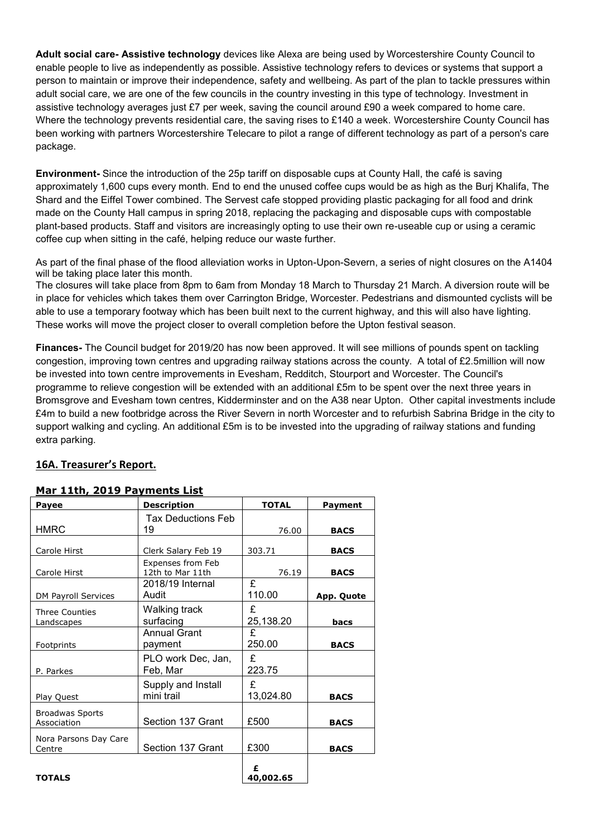**Adult social care- Assistive technology** devices like Alexa are being used by Worcestershire County Council to enable people to live as independently as possible. Assistive technology refers to devices or systems that support a person to maintain or improve their independence, safety and wellbeing. As part of the plan to tackle pressures within adult social care, we are one of the few councils in the country investing in this type of technology. Investment in assistive technology averages just £7 per week, saving the council around £90 a week compared to home care. Where the technology prevents residential care, the saving rises to £140 a week. Worcestershire County Council has been working with partners Worcestershire Telecare to pilot a range of different technology as part of a person's care package.

**Environment-** Since the introduction of the 25p tariff on disposable cups at County Hall, the café is saving approximately 1,600 cups every month. End to end the unused coffee cups would be as high as the Burj Khalifa, The Shard and the Eiffel Tower combined. The Servest cafe stopped providing plastic packaging for all food and drink made on the County Hall campus in spring 2018, replacing the packaging and disposable cups with compostable plant-based products. Staff and visitors are increasingly opting to use their own re-useable cup or using a ceramic coffee cup when sitting in the café, helping reduce our waste further.

As part of the final phase of the flood alleviation works in Upton-Upon-Severn, a series of night closures on the A1404 will be taking place later this month.

The closures will take place from 8pm to 6am from Monday 18 March to Thursday 21 March. A diversion route will be in place for vehicles which takes them over Carrington Bridge, Worcester. Pedestrians and dismounted cyclists will be able to use a temporary footway which has been built next to the current highway, and this will also have lighting. These works will move the project closer to overall completion before the Upton festival season.

**Finances-** The Council budget for 2019/20 has now been approved. It will see millions of pounds spent on tackling congestion, improving town centres and upgrading railway stations across the county. A total of £2.5million will now be invested into town centre improvements in Evesham, Redditch, Stourport and Worcester. The Council's programme to relieve congestion will be extended with an additional £5m to be spent over the next three years in Bromsgrove and Evesham town centres, Kidderminster and on the A38 near Upton. Other capital investments include £4m to build a new footbridge across the River Severn in north Worcester and to refurbish Sabrina Bridge in the city to support walking and cycling. An additional £5m is to be invested into the upgrading of railway stations and funding extra parking.

## **16A. Treasurer's Report.**

| Payee                                 | <b>Description</b>                    | <b>TOTAL</b>   | <b>Payment</b>    |
|---------------------------------------|---------------------------------------|----------------|-------------------|
| <b>HMRC</b>                           | Tax Deductions Feb<br>19              | 76.00          | <b>BACS</b>       |
| Carole Hirst                          | Clerk Salary Feb 19                   | 303.71         | <b>BACS</b>       |
| Carole Hirst                          | Expenses from Feb<br>12th to Mar 11th | 76.19          | <b>BACS</b>       |
| <b>DM Payroll Services</b>            | 2018/19 Internal<br>Audit             | £<br>110.00    | <b>App. Quote</b> |
| <b>Three Counties</b><br>Landscapes   | Walking track<br>surfacing            | £<br>25,138.20 | bacs              |
| Footprints                            | <b>Annual Grant</b><br>payment        | £<br>250.00    | <b>BACS</b>       |
| P. Parkes                             | PLO work Dec, Jan,<br>Feb, Mar        | £<br>223.75    |                   |
| Play Quest                            | Supply and Install<br>mini trail      | £<br>13,024.80 | <b>BACS</b>       |
| <b>Broadwas Sports</b><br>Association | Section 137 Grant                     | £500           | <b>BACS</b>       |
| Nora Parsons Day Care<br>Centre       | Section 137 Grant                     | £300           | <b>BACS</b>       |
| <b>TOTALS</b>                         |                                       | £<br>40,002.65 |                   |

### **Mar 11th, 2019 Payments List**